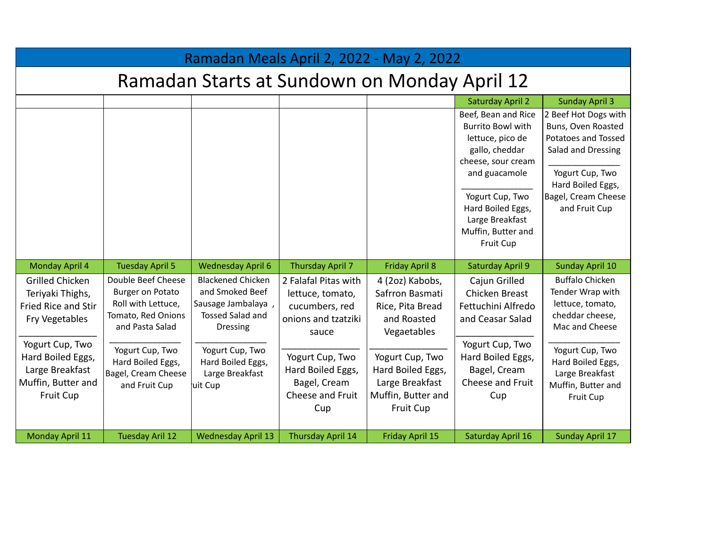| Ramadan Meals April 2, 2022 - May 2, 2022                                                  |                                                                                                              |                                                                                                                 |                                                                                            |                                                                                                   |                                                                                                                                                                                                                            |                                                                                                                                                                         |  |
|--------------------------------------------------------------------------------------------|--------------------------------------------------------------------------------------------------------------|-----------------------------------------------------------------------------------------------------------------|--------------------------------------------------------------------------------------------|---------------------------------------------------------------------------------------------------|----------------------------------------------------------------------------------------------------------------------------------------------------------------------------------------------------------------------------|-------------------------------------------------------------------------------------------------------------------------------------------------------------------------|--|
| Ramadan Starts at Sundown on Monday April 12                                               |                                                                                                              |                                                                                                                 |                                                                                            |                                                                                                   |                                                                                                                                                                                                                            |                                                                                                                                                                         |  |
|                                                                                            |                                                                                                              |                                                                                                                 |                                                                                            |                                                                                                   | <b>Saturday April 2</b>                                                                                                                                                                                                    | <b>Sunday April 3</b>                                                                                                                                                   |  |
|                                                                                            |                                                                                                              |                                                                                                                 |                                                                                            |                                                                                                   | Beef, Bean and Rice<br><b>Burrito Bowl with</b><br>lettuce, pico de<br>gallo, cheddar<br>cheese, sour cream<br>and guacamole<br>Yogurt Cup, Two<br>Hard Boiled Eggs,<br>Large Breakfast<br>Muffin, Butter and<br>Fruit Cup | 2 Beef Hot Dogs with<br>Buns, Oven Roasted<br>Potatoes and Tossed<br>Salad and Dressing<br>Yogurt Cup, Two<br>Hard Boiled Eggs,<br>Bagel, Cream Cheese<br>and Fruit Cup |  |
| Monday April 4                                                                             | <b>Tuesday April 5</b>                                                                                       | <b>Wednesday April 6</b>                                                                                        | Thursday April 7                                                                           | <b>Friday April 8</b>                                                                             | <b>Saturday April 9</b>                                                                                                                                                                                                    | <b>Sunday April 10</b>                                                                                                                                                  |  |
| <b>Grilled Chicken</b><br>Teriyaki Thighs,<br>Fried Rice and Stir<br>Fry Vegetables        | Double Beef Cheese<br><b>Burger on Potato</b><br>Roll with Lettuce,<br>Tomato, Red Onions<br>and Pasta Salad | <b>Blackened Chicken</b><br>and Smoked Beef<br>Sausage Jambalaya,<br><b>Tossed Salad and</b><br><b>Dressing</b> | 2 Falafal Pitas with<br>lettuce, tomato,<br>cucumbers, red<br>onions and tzatziki<br>sauce | 4 (2oz) Kabobs,<br>Safrron Basmati<br>Rice, Pita Bread<br>and Roasted<br>Vegaetables              | Cajun Grilled<br>Chicken Breast<br>Fettuchini Alfredo<br>and Ceasar Salad                                                                                                                                                  | <b>Buffalo Chicken</b><br>Tender Wrap with<br>lettuce, tomato,<br>cheddar cheese,<br>Mac and Cheese                                                                     |  |
| Yogurt Cup, Two<br>Hard Boiled Eggs,<br>Large Breakfast<br>Muffin, Butter and<br>Fruit Cup | Yogurt Cup, Two<br>Hard Boiled Eggs,<br>Bagel, Cream Cheese<br>and Fruit Cup                                 | Yogurt Cup, Two<br>Hard Boiled Eggs,<br>Large Breakfast<br>uit Cup                                              | Yogurt Cup, Two<br>Hard Boiled Eggs,<br>Bagel, Cream<br>Cheese and Fruit<br>Cup            | Yogurt Cup, Two<br>Hard Boiled Eggs,<br>Large Breakfast<br>Muffin, Butter and<br><b>Fruit Cup</b> | Yogurt Cup, Two<br>Hard Boiled Eggs,<br>Bagel, Cream<br>Cheese and Fruit<br>Cup                                                                                                                                            | Yogurt Cup, Two<br>Hard Boiled Eggs,<br>Large Breakfast<br>Muffin, Butter and<br>Fruit Cup                                                                              |  |
| Monday April 11                                                                            | <b>Tuesday Aril 12</b>                                                                                       | <b>Wednesday April 13</b>                                                                                       | Thursday April 14                                                                          | Friday April 15                                                                                   | Saturday April 16                                                                                                                                                                                                          | <b>Sunday April 17</b>                                                                                                                                                  |  |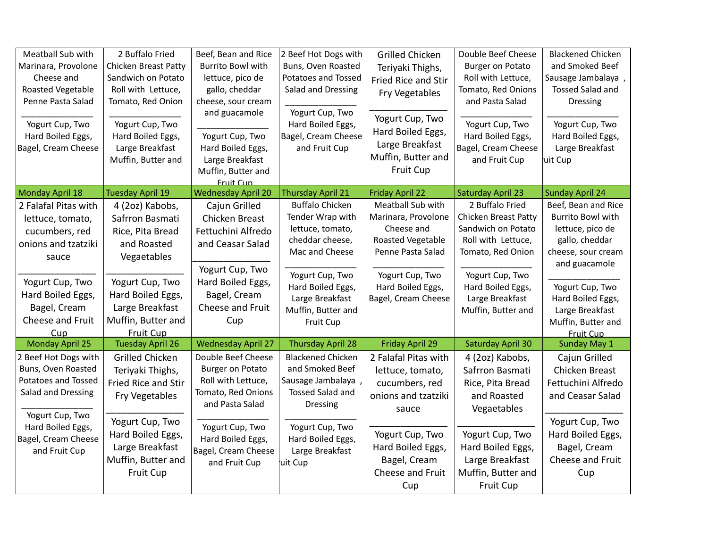| Meatball Sub with<br>Marinara, Provolone<br>Cheese and<br>Roasted Vegetable<br>Penne Pasta Salad<br>Yogurt Cup, Two<br>Hard Boiled Eggs,<br>Bagel, Cream Cheese                | 2 Buffalo Fried<br>Chicken Breast Patty<br>Sandwich on Potato<br>Roll with Lettuce,<br>Tomato, Red Onion<br>Yogurt Cup, Two<br>Hard Boiled Eggs,<br>Large Breakfast<br>Muffin, Butter and | Beef, Bean and Rice<br><b>Burrito Bowl with</b><br>lettuce, pico de<br>gallo, cheddar<br>cheese, sour cream<br>and guacamole<br>Yogurt Cup, Two<br>Hard Boiled Eggs,<br>Large Breakfast<br>Muffin, Butter and<br>Fruit Cun | 2 Beef Hot Dogs with<br>Buns, Oven Roasted<br>Potatoes and Tossed<br>Salad and Dressing<br>Yogurt Cup, Two<br>Hard Boiled Eggs,<br>Bagel, Cream Cheese<br>and Fruit Cup                                  | <b>Grilled Chicken</b><br>Teriyaki Thighs,<br><b>Fried Rice and Stir</b><br>Fry Vegetables<br>Yogurt Cup, Two<br>Hard Boiled Eggs,<br>Large Breakfast<br>Muffin, Butter and<br><b>Fruit Cup</b> | Double Beef Cheese<br><b>Burger on Potato</b><br>Roll with Lettuce,<br>Tomato, Red Onions<br>and Pasta Salad<br>Yogurt Cup, Two<br>Hard Boiled Eggs,<br>Bagel, Cream Cheese<br>and Fruit Cup | <b>Blackened Chicken</b><br>and Smoked Beef<br>Sausage Jambalaya,<br><b>Tossed Salad and</b><br><b>Dressing</b><br>Yogurt Cup, Two<br>Hard Boiled Eggs,<br>Large Breakfast<br>uit Cup                                             |
|--------------------------------------------------------------------------------------------------------------------------------------------------------------------------------|-------------------------------------------------------------------------------------------------------------------------------------------------------------------------------------------|----------------------------------------------------------------------------------------------------------------------------------------------------------------------------------------------------------------------------|----------------------------------------------------------------------------------------------------------------------------------------------------------------------------------------------------------|-------------------------------------------------------------------------------------------------------------------------------------------------------------------------------------------------|----------------------------------------------------------------------------------------------------------------------------------------------------------------------------------------------|-----------------------------------------------------------------------------------------------------------------------------------------------------------------------------------------------------------------------------------|
| Monday April 18                                                                                                                                                                | <b>Tuesday April 19</b>                                                                                                                                                                   | <b>Wednesday April 20</b>                                                                                                                                                                                                  | <b>Thursday April 21</b>                                                                                                                                                                                 | <b>Friday April 22</b>                                                                                                                                                                          | <b>Saturday April 23</b>                                                                                                                                                                     | <b>Sunday April 24</b>                                                                                                                                                                                                            |
| 2 Falafal Pitas with<br>lettuce, tomato,<br>cucumbers, red<br>onions and tzatziki<br>sauce<br>Yogurt Cup, Two<br>Hard Boiled Eggs,<br>Bagel, Cream<br>Cheese and Fruit<br>Cup  | 4 (2oz) Kabobs,<br>Safrron Basmati<br>Rice, Pita Bread<br>and Roasted<br>Vegaetables<br>Yogurt Cup, Two<br>Hard Boiled Eggs,<br>Large Breakfast<br>Muffin, Butter and<br><b>Fruit Cup</b> | Cajun Grilled<br>Chicken Breast<br>Fettuchini Alfredo<br>and Ceasar Salad<br>Yogurt Cup, Two<br>Hard Boiled Eggs,<br>Bagel, Cream<br>Cheese and Fruit<br>Cup                                                               | <b>Buffalo Chicken</b><br>Tender Wrap with<br>lettuce, tomato,<br>cheddar cheese,<br>Mac and Cheese<br>Yogurt Cup, Two<br>Hard Boiled Eggs,<br>Large Breakfast<br>Muffin, Butter and<br><b>Fruit Cup</b> | Meatball Sub with<br>Marinara, Provolone<br>Cheese and<br>Roasted Vegetable<br>Penne Pasta Salad<br>Yogurt Cup, Two<br>Hard Boiled Eggs,<br>Bagel, Cream Cheese                                 | 2 Buffalo Fried<br>Chicken Breast Patty<br>Sandwich on Potato<br>Roll with Lettuce,<br>Tomato, Red Onion<br>Yogurt Cup, Two<br>Hard Boiled Eggs,<br>Large Breakfast<br>Muffin, Butter and    | Beef, Bean and Rice<br><b>Burrito Bowl with</b><br>lettuce, pico de<br>gallo, cheddar<br>cheese, sour cream<br>and guacamole<br>Yogurt Cup, Two<br>Hard Boiled Eggs,<br>Large Breakfast<br>Muffin, Butter and<br><b>Fruit Cup</b> |
| <b>Monday April 25</b>                                                                                                                                                         | <b>Tuesday April 26</b>                                                                                                                                                                   | <b>Wednesday April 27</b>                                                                                                                                                                                                  | <b>Thursday April 28</b>                                                                                                                                                                                 | <b>Friday April 29</b>                                                                                                                                                                          | <b>Saturday April 30</b>                                                                                                                                                                     | <b>Sunday May 1</b>                                                                                                                                                                                                               |
| 2 Beef Hot Dogs with<br>Buns, Oven Roasted<br><b>Potatoes and Tossed</b><br>Salad and Dressing<br>Yogurt Cup, Two<br>Hard Boiled Eggs,<br>Bagel, Cream Cheese<br>and Fruit Cup | <b>Grilled Chicken</b><br>Teriyaki Thighs,<br>Fried Rice and Stir<br>Fry Vegetables<br>Yogurt Cup, Two<br>Hard Boiled Eggs,<br>Large Breakfast<br>Muffin, Butter and<br>Fruit Cup         | Double Beef Cheese<br><b>Burger on Potato</b><br>Roll with Lettuce,<br>Tomato, Red Onions<br>and Pasta Salad<br>Yogurt Cup, Two<br>Hard Boiled Eggs,<br>Bagel, Cream Cheese<br>and Fruit Cup                               | <b>Blackened Chicken</b><br>and Smoked Beef<br>Sausage Jambalaya,<br><b>Tossed Salad and</b><br><b>Dressing</b><br>Yogurt Cup, Two<br>Hard Boiled Eggs,<br>Large Breakfast<br>uit Cup                    | 2 Falafal Pitas with<br>lettuce, tomato,<br>cucumbers, red<br>onions and tzatziki<br>sauce<br>Yogurt Cup, Two<br>Hard Boiled Eggs,<br>Bagel, Cream<br>Cheese and Fruit<br>Cup                   | 4 (2oz) Kabobs,<br>Safrron Basmati<br>Rice, Pita Bread<br>and Roasted<br>Vegaetables<br>Yogurt Cup, Two<br>Hard Boiled Eggs,<br>Large Breakfast<br>Muffin, Butter and<br>Fruit Cup           | Cajun Grilled<br>Chicken Breast<br>Fettuchini Alfredo<br>and Ceasar Salad<br>Yogurt Cup, Two<br>Hard Boiled Eggs,<br>Bagel, Cream<br>Cheese and Fruit<br>Cup                                                                      |